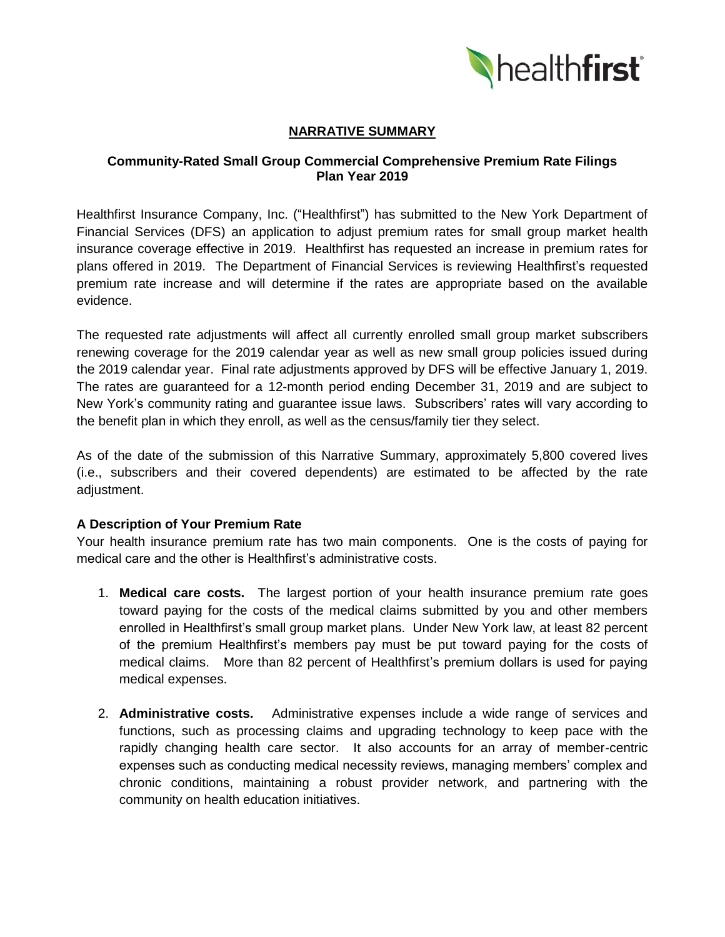

# **NARRATIVE SUMMARY**

### **Community-Rated Small Group Commercial Comprehensive Premium Rate Filings Plan Year 2019**

Healthfirst Insurance Company, Inc. ("Healthfirst") has submitted to the New York Department of Financial Services (DFS) an application to adjust premium rates for small group market health insurance coverage effective in 2019. Healthfirst has requested an increase in premium rates for plans offered in 2019. The Department of Financial Services is reviewing Healthfirst's requested premium rate increase and will determine if the rates are appropriate based on the available evidence.

The requested rate adjustments will affect all currently enrolled small group market subscribers renewing coverage for the 2019 calendar year as well as new small group policies issued during the 2019 calendar year. Final rate adjustments approved by DFS will be effective January 1, 2019. The rates are guaranteed for a 12-month period ending December 31, 2019 and are subject to New York's community rating and guarantee issue laws. Subscribers' rates will vary according to the benefit plan in which they enroll, as well as the census/family tier they select.

As of the date of the submission of this Narrative Summary, approximately 5,800 covered lives (i.e., subscribers and their covered dependents) are estimated to be affected by the rate adjustment.

### **A Description of Your Premium Rate**

Your health insurance premium rate has two main components. One is the costs of paying for medical care and the other is Healthfirst's administrative costs.

- 1. **Medical care costs.** The largest portion of your health insurance premium rate goes toward paying for the costs of the medical claims submitted by you and other members enrolled in Healthfirst's small group market plans. Under New York law, at least 82 percent of the premium Healthfirst's members pay must be put toward paying for the costs of medical claims. More than 82 percent of Healthfirst's premium dollars is used for paying medical expenses.
- 2. **Administrative costs.** Administrative expenses include a wide range of services and functions, such as processing claims and upgrading technology to keep pace with the rapidly changing health care sector. It also accounts for an array of member-centric expenses such as conducting medical necessity reviews, managing members' complex and chronic conditions, maintaining a robust provider network, and partnering with the community on health education initiatives.